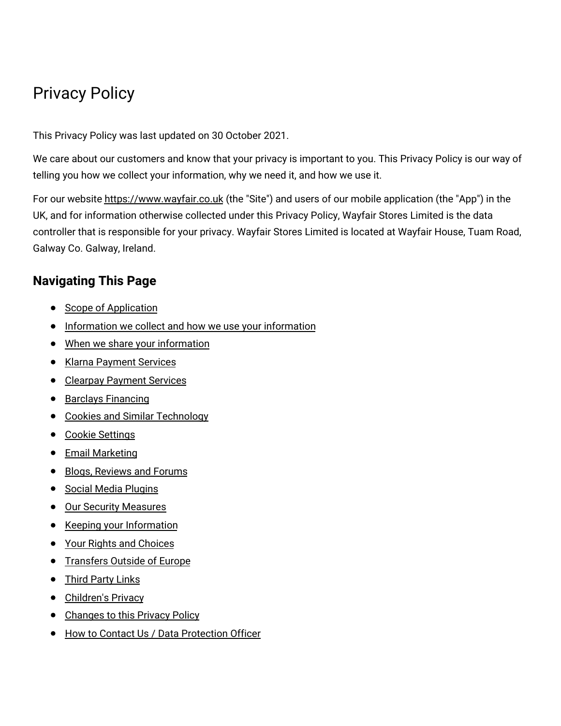# Privacy Policy

This Privacy Policy was last updated on 30 October 2021.

We care about our customers and know that your privacy is important to you. This Privacy Policy is our way of telling you how we collect your information, why we need it, and how we use it.

For our website [https://www.wayfair.co.uk](https://www.wayfair.co.uk/) (the "Site") and users of our mobile application (the "App") in the UK, and for information otherwise collected under this Privacy Policy, Wayfair Stores Limited is the data controller that is responsible for your privacy. Wayfair Stores Limited is located at Wayfair House, Tuam Road, Galway Co. Galway, Ireland.

# **Navigating This Page**

- Scope of [Application](#privacy_scope)
- [Information](#privacy_information) we collect and how we use your information
- When we share your [information](#privacy_share)
- Klarna [Payment](#privacy_klarna_payments) Services
- Clearpay [Payment](#privacy_clearpay_payments) Services
- Barclays [Financing](#privacy_barclays_payments)
- Cookies and Similar [Technology](#privacy_cookie)
- Cookie [Settings](#privacy_settings)
- **•** Email [Marketing](#privacy_marketing)
- Blogs, [Reviews](#privacy_public_accessible) and Forums
- **•** Social Media [Plugins](#privacy_social_media)
- **•** Our Security [Measures](#privacy_security_measures)
- Keeping your [Information](#privacy_keeping_information)
- Your Rights and [Choices](#privacy_rights)
- **•** [Transfers](#privacy_transfers) Outside of Europe
- Third [Party](#privacy_third_party) Links
- [Children's](#privacy_minors) Privacy
- [Changes](#privacy_changes) to this Privacy Policy  $\bullet$
- How to Contact Us / Data [Protection](#privacy_contact_us) Officer $\bullet$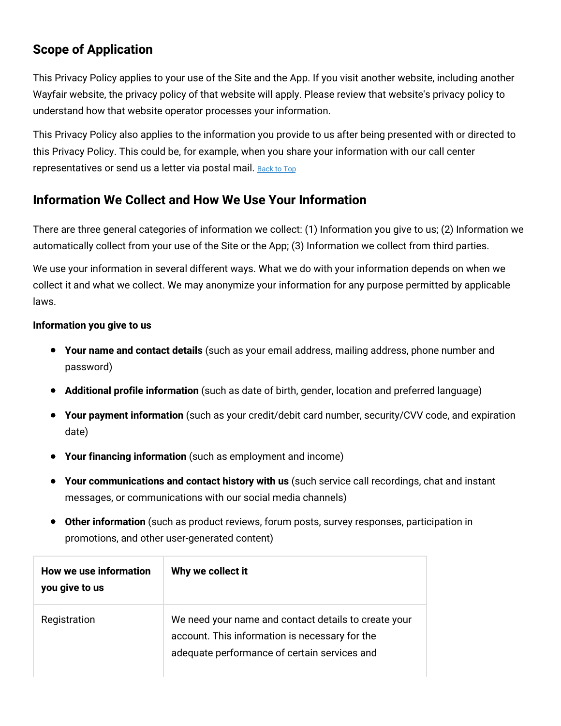# **Scope of Application**

This Privacy Policy applies to your use of the Site and the App. If you visit another website, including another Wayfair website, the privacy policy of that website will apply. Please review that website's privacy policy to understand how that website operator processes your information.

This Privacy Policy also applies to the information you provide to us after being presented with or directed to this Privacy Policy. This could be, for example, when you share your information with our call center representatives or send us a letter via postal mail. [Back](#wfuk-privacy-top) to Top

# **Information We Collect and How We Use Your Information**

There are three general categories of information we collect: (1) Information you give to us; (2) Information we automatically collect from your use of the Site or the App; (3) Information we collect from third parties.

We use your information in several different ways. What we do with your information depends on when we collect it and what we collect. We may anonymize your information for any purpose permitted by applicable laws.

#### **Information you give to us**

- **Your name and contact details** (such as your email address, mailing address, phone number and password)
- **Additional profile information** (such as date of birth, gender, location and preferred language)
- **Your payment information** (such as your credit/debit card number, security/CVV code, and expiration date)
- **Your financing information** (such as employment and income)
- **Your communications and contact history with us** (such service call recordings, chat and instant messages, or communications with our social media channels)
- **Other information** (such as product reviews, forum posts, survey responses, participation in promotions, and other user-generated content)

| How we use information<br>you give to us | Why we collect it                                                                                                                                      |
|------------------------------------------|--------------------------------------------------------------------------------------------------------------------------------------------------------|
| Registration                             | We need your name and contact details to create your<br>account. This information is necessary for the<br>adequate performance of certain services and |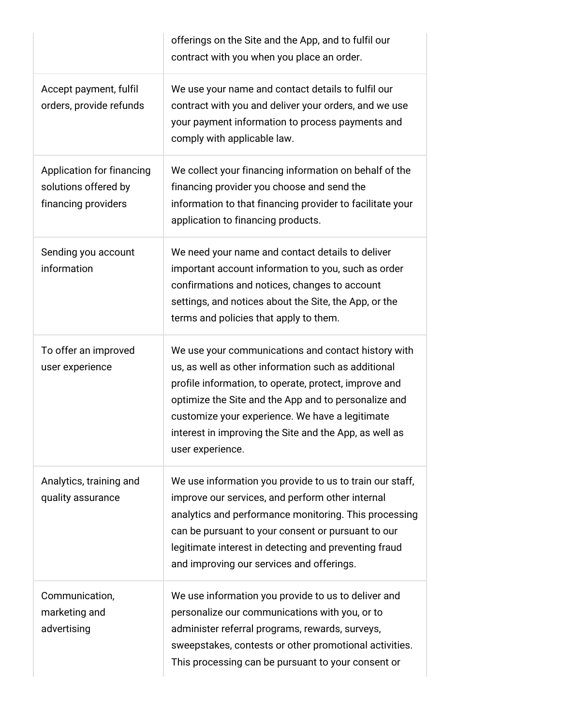|                                                                          | offerings on the Site and the App, and to fulfil our<br>contract with you when you place an order.                                                                                                                                                                                                                                                           |
|--------------------------------------------------------------------------|--------------------------------------------------------------------------------------------------------------------------------------------------------------------------------------------------------------------------------------------------------------------------------------------------------------------------------------------------------------|
| Accept payment, fulfil<br>orders, provide refunds                        | We use your name and contact details to fulfil our<br>contract with you and deliver your orders, and we use<br>your payment information to process payments and<br>comply with applicable law.                                                                                                                                                               |
| Application for financing<br>solutions offered by<br>financing providers | We collect your financing information on behalf of the<br>financing provider you choose and send the<br>information to that financing provider to facilitate your<br>application to financing products.                                                                                                                                                      |
| Sending you account<br>information                                       | We need your name and contact details to deliver<br>important account information to you, such as order<br>confirmations and notices, changes to account<br>settings, and notices about the Site, the App, or the<br>terms and policies that apply to them.                                                                                                  |
| To offer an improved<br>user experience                                  | We use your communications and contact history with<br>us, as well as other information such as additional<br>profile information, to operate, protect, improve and<br>optimize the Site and the App and to personalize and<br>customize your experience. We have a legitimate<br>interest in improving the Site and the App, as well as<br>user experience. |
| Analytics, training and<br>quality assurance                             | We use information you provide to us to train our staff,<br>improve our services, and perform other internal<br>analytics and performance monitoring. This processing<br>can be pursuant to your consent or pursuant to our<br>legitimate interest in detecting and preventing fraud<br>and improving our services and offerings.                            |
| Communication,<br>marketing and<br>advertising                           | We use information you provide to us to deliver and<br>personalize our communications with you, or to<br>administer referral programs, rewards, surveys,<br>sweepstakes, contests or other promotional activities.<br>This processing can be pursuant to your consent or                                                                                     |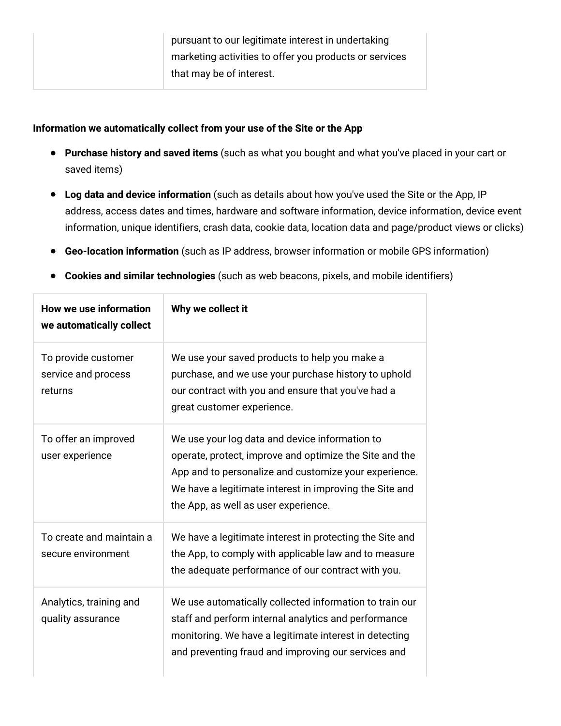#### **Information we automatically collect from your use of the Site or the App**

- **Purchase history and saved items** (such as what you bought and what you've placed in your cart or saved items)
- **Log data and device information** (such as details about how you've used the Site or the App, IP address, access dates and times, hardware and software information, device information, device event information, unique identifiers, crash data, cookie data, location data and page/product views or clicks)
- **Geo-location information** (such as IP address, browser information or mobile GPS information)
- **Cookies and similar technologies** (such as web beacons, pixels, and mobile identifiers)

| <b>How we use information</b><br>we automatically collect | Why we collect it                                                                                                                                                                                                                                                     |
|-----------------------------------------------------------|-----------------------------------------------------------------------------------------------------------------------------------------------------------------------------------------------------------------------------------------------------------------------|
| To provide customer<br>service and process<br>returns     | We use your saved products to help you make a<br>purchase, and we use your purchase history to uphold<br>our contract with you and ensure that you've had a<br>great customer experience.                                                                             |
| To offer an improved<br>user experience                   | We use your log data and device information to<br>operate, protect, improve and optimize the Site and the<br>App and to personalize and customize your experience.<br>We have a legitimate interest in improving the Site and<br>the App, as well as user experience. |
| To create and maintain a<br>secure environment            | We have a legitimate interest in protecting the Site and<br>the App, to comply with applicable law and to measure<br>the adequate performance of our contract with you.                                                                                               |
| Analytics, training and<br>quality assurance              | We use automatically collected information to train our<br>staff and perform internal analytics and performance<br>monitoring. We have a legitimate interest in detecting<br>and preventing fraud and improving our services and                                      |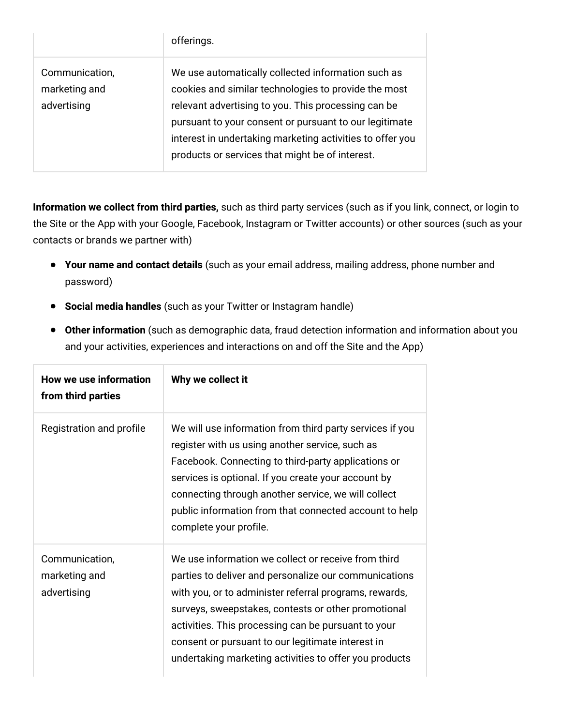|                                                | offerings.                                                                                                                                                                                                                                                                                                                                  |
|------------------------------------------------|---------------------------------------------------------------------------------------------------------------------------------------------------------------------------------------------------------------------------------------------------------------------------------------------------------------------------------------------|
| Communication,<br>marketing and<br>advertising | We use automatically collected information such as<br>cookies and similar technologies to provide the most<br>relevant advertising to you. This processing can be<br>pursuant to your consent or pursuant to our legitimate<br>interest in undertaking marketing activities to offer you<br>products or services that might be of interest. |

**Information we collect from third parties,** such as third party services (such as if you link, connect, or login to the Site or the App with your Google, Facebook, Instagram or Twitter accounts) or other sources (such as your contacts or brands we partner with)

- **Your name and contact details** (such as your email address, mailing address, phone number and password)
- **Social media handles** (such as your Twitter or Instagram handle)
- **Other information** (such as demographic data, fraud detection information and information about you and your activities, experiences and interactions on and off the Site and the App)

| How we use information<br>from third parties   | Why we collect it                                                                                                                                                                                                                                                                                                                                                                                   |
|------------------------------------------------|-----------------------------------------------------------------------------------------------------------------------------------------------------------------------------------------------------------------------------------------------------------------------------------------------------------------------------------------------------------------------------------------------------|
| Registration and profile                       | We will use information from third party services if you<br>register with us using another service, such as<br>Facebook. Connecting to third-party applications or<br>services is optional. If you create your account by<br>connecting through another service, we will collect<br>public information from that connected account to help<br>complete your profile.                                |
| Communication,<br>marketing and<br>advertising | We use information we collect or receive from third<br>parties to deliver and personalize our communications<br>with you, or to administer referral programs, rewards,<br>surveys, sweepstakes, contests or other promotional<br>activities. This processing can be pursuant to your<br>consent or pursuant to our legitimate interest in<br>undertaking marketing activities to offer you products |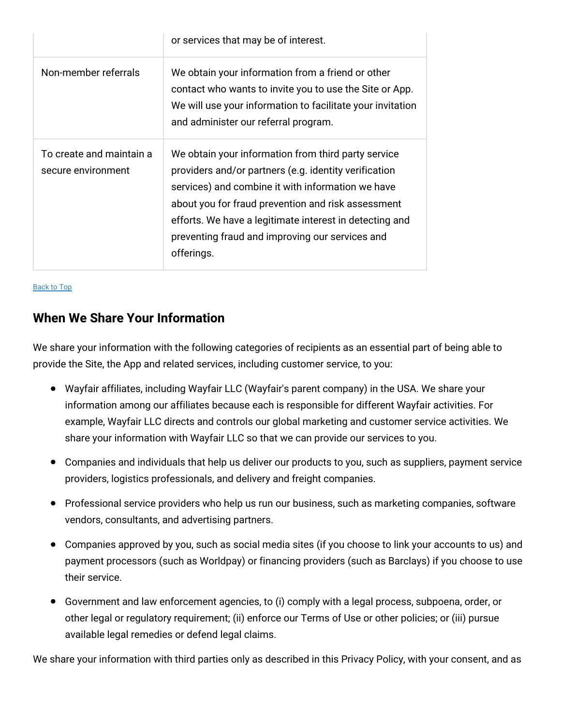|                                                | or services that may be of interest.                                                                                                                                                                                                                                                                                                                |
|------------------------------------------------|-----------------------------------------------------------------------------------------------------------------------------------------------------------------------------------------------------------------------------------------------------------------------------------------------------------------------------------------------------|
| Non-member referrals                           | We obtain your information from a friend or other<br>contact who wants to invite you to use the Site or App.<br>We will use your information to facilitate your invitation<br>and administer our referral program.                                                                                                                                  |
| To create and maintain a<br>secure environment | We obtain your information from third party service<br>providers and/or partners (e.g. identity verification<br>services) and combine it with information we have<br>about you for fraud prevention and risk assessment<br>efforts. We have a legitimate interest in detecting and<br>preventing fraud and improving our services and<br>offerings. |

#### [Back](#wfuk-privacy-top) to Top

#### **When We Share Your Information**

We share your information with the following categories of recipients as an essential part of being able to provide the Site, the App and related services, including customer service, to you:

- Wayfair affiliates, including Wayfair LLC (Wayfair's parent company) in the USA. We share your information among our affiliates because each is responsible for different Wayfair activities. For example, Wayfair LLC directs and controls our global marketing and customer service activities. We share your information with Wayfair LLC so that we can provide our services to you.
- Companies and individuals that help us deliver our products to you, such as suppliers, payment service providers, logistics professionals, and delivery and freight companies.
- Professional service providers who help us run our business, such as marketing companies, software vendors, consultants, and advertising partners.
- Companies approved by you, such as social media sites (if you choose to link your accounts to us) and payment processors (such as Worldpay) or financing providers (such as Barclays) if you choose to use their service.
- Government and law enforcement agencies, to (i) comply with a legal process, subpoena, order, or other legal or regulatory requirement; (ii) enforce our Terms of Use or other policies; or (iii) pursue available legal remedies or defend legal claims.

We share your information with third parties only as described in this Privacy Policy, with your consent, and as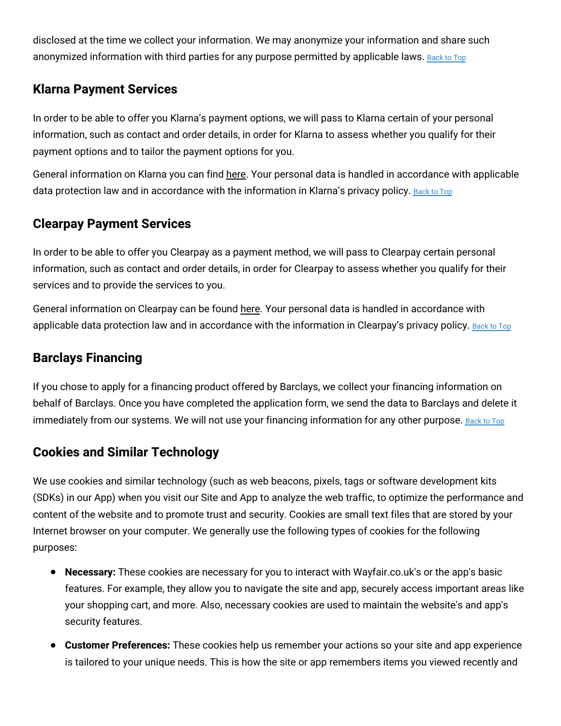disclosed at the time we collect your information. We may anonymize your information and share such anonymized information with third parties for any purpose permitted by applicable laws. [Back](#wfuk-privacy-top) to Top

## **Klarna Payment Services**

In order to be able to offer you Klarna's payment options, we will pass to Klarna certain of your personal information, such as contact and order details, in order for Klarna to assess whether you qualify for their payment options and to tailor the payment options for you.

General information on Klarna you can find [here.](https://www.klarna.com/uk/) Your personal data is handled in accordance with applicable data protection law and in accordance with the information in Klarna's privacy policy. [Back](#wfuk-privacy-top) to Top

# **Clearpay Payment Services**

In order to be able to offer you Clearpay as a payment method, we will pass to Clearpay certain personal information, such as contact and order details, in order for Clearpay to assess whether you qualify for their services and to provide the services to you.

General information on Clearpay can be found [here.](https://www.clearpay.co.uk/en-GB/index) Your personal data is handled in accordance with applicable data protection law and in accordance with the information in Clearpay's privacy policy. [Back](#wfuk-privacy-top) to Top

# **Barclays Financing**

If you chose to apply for a financing product offered by Barclays, we collect your financing information on behalf of Barclays. Once you have completed the application form, we send the data to Barclays and delete it immediately from our systems. We will not use your financing information for any other purpose. [Back](#wfuk-privacy-top) to Top

### **Cookies and Similar Technology**

We use cookies and similar technology (such as web beacons, pixels, tags or software development kits (SDKs) in our App) when you visit our Site and App to analyze the web traffic, to optimize the performance and content of the website and to promote trust and security. Cookies are small text files that are stored by your Internet browser on your computer. We generally use the following types of cookies for the following purposes:

- **Necessary:** These cookies are necessary for you to interact with Wayfair.co.uk's or the app's basic features. For example, they allow you to navigate the site and app, securely access important areas like your shopping cart, and more. Also, necessary cookies are used to maintain the website's and app's security features.
- **Customer Preferences:** These cookies help us remember your actions so your site and app experience is tailored to your unique needs. This is how the site or app remembers items you viewed recently and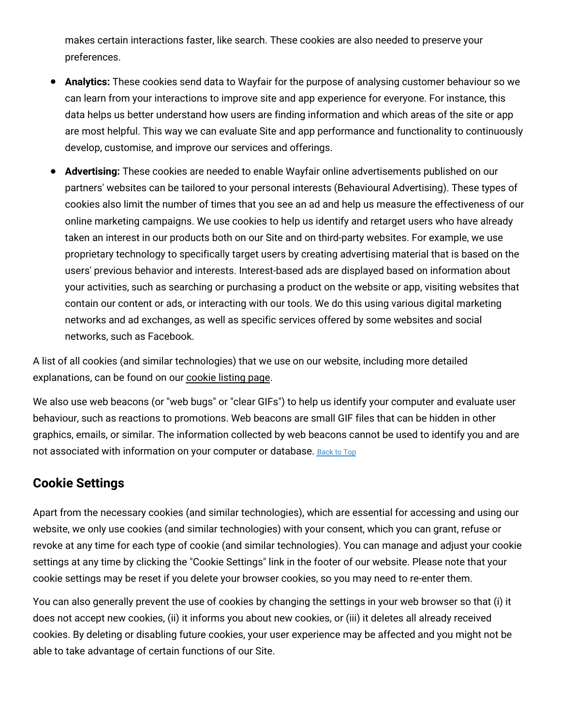makes certain interactions faster, like search. These cookies are also needed to preserve your preferences.

- **Analytics:** These cookies send data to Wayfair for the purpose of analysing customer behaviour so we can learn from your interactions to improve site and app experience for everyone. For instance, this data helps us better understand how users are finding information and which areas of the site or app are most helpful. This way we can evaluate Site and app performance and functionality to continuously develop, customise, and improve our services and offerings.
- **Advertising:** These cookies are needed to enable Wayfair online advertisements published on our partners' websites can be tailored to your personal interests (Behavioural Advertising). These types of cookies also limit the number of times that you see an ad and help us measure the effectiveness of our online marketing campaigns. We use cookies to help us identify and retarget users who have already taken an interest in our products both on our Site and on third-party websites. For example, we use proprietary technology to specifically target users by creating advertising material that is based on the users' previous behavior and interests. Interest-based ads are displayed based on information about your activities, such as searching or purchasing a product on the website or app, visiting websites that contain our content or ads, or interacting with our tools. We do this using various digital marketing networks and ad exchanges, as well as specific services offered by some websites and social networks, such as Facebook.

A list of all cookies (and similar technologies) that we use on our website, including more detailed explanations, can be found on our [cookie](https://terms.wayfair.io/en-UK#wfuk-cookies) listing page.

We also use web beacons (or "web bugs" or "clear GIFs") to help us identify your computer and evaluate user behaviour, such as reactions to promotions. Web beacons are small GIF files that can be hidden in other graphics, emails, or similar. The information collected by web beacons cannot be used to identify you and are not associated with information on your computer or database. [Back](#wfuk-privacy-top) to Top

### **Cookie Settings**

Apart from the necessary cookies (and similar technologies), which are essential for accessing and using our website, we only use cookies (and similar technologies) with your consent, which you can grant, refuse or revoke at any time for each type of cookie (and similar technologies). You can manage and adjust your cookie settings at any time by clicking the "Cookie Settings" link in the footer of our website. Please note that your cookie settings may be reset if you delete your browser cookies, so you may need to re-enter them.

You can also generally prevent the use of cookies by changing the settings in your web browser so that (i) it does not accept new cookies, (ii) it informs you about new cookies, or (iii) it deletes all already received cookies. By deleting or disabling future cookies, your user experience may be affected and you might not be able to take advantage of certain functions of our Site.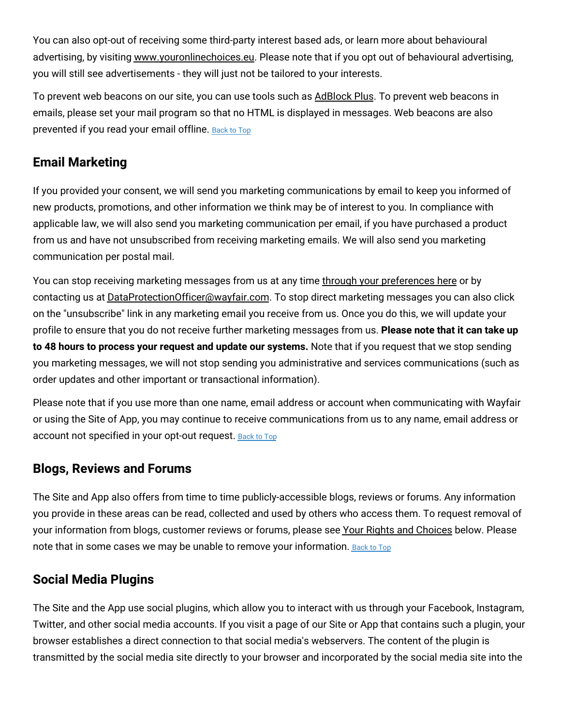You can also opt-out of receiving some third-party interest based ads, or learn more about behavioural advertising, by visiting [www.youronlinechoices.eu.](http://www.youronlinechoices.eu/uk/) Please note that if you opt out of behavioural advertising, you will still see advertisements - they will just not be tailored to your interests.

To prevent web beacons on our site, you can use tools such as [AdBlock](https://adblockplus.org/chrome) Plus. To prevent web beacons in emails, please set your mail program so that no HTML is displayed in messages. Web beacons are also prevented if you read your email offline. [Back](#wfuk-privacy-top) to Top

# **Email Marketing**

If you provided your consent, we will send you marketing communications by email to keep you informed of new products, promotions, and other information we think may be of interest to you. In compliance with applicable law, we will also send you marketing communication per email, if you have purchased a product from us and have not unsubscribed from receiving marketing emails. We will also send you marketing communication per postal mail.

You can stop receiving marketing messages from us at any time through your [preferences](https://www.wayfair.co.uk/v/account/email_subscriptions/manage) here or by contacting us at [DataProtectionOfficer@wayfair.com.](mailto:DataProtectionOfficer@wayfair.com) To stop direct marketing messages you can also click on the "unsubscribe" link in any marketing email you receive from us. Once you do this, we will update your profile to ensure that you do not receive further marketing messages from us. **Please note that it can take up to 48 hours to process your request and update our systems.** Note that if you request that we stop sending you marketing messages, we will not stop sending you administrative and services communications (such as order updates and other important or transactional information).

Please note that if you use more than one name, email address or account when communicating with Wayfair or using the Site of App, you may continue to receive communications from us to any name, email address or account not specified in your opt-out request. [Back](#wfuk-privacy-top) to Top

#### **Blogs, Reviews and Forums**

The Site and App also offers from time to time publicly-accessible blogs, reviews or forums. Any information you provide in these areas can be read, collected and used by others who access them. To request removal of your information from blogs, customer reviews or forums, please see Your Rights and [Choices](#privacy_rights) below. Please note that in some cases we may be unable to remove your information. [Back](#wfuk-privacy-top) to Top

#### **Social Media Plugins**

The Site and the App use social plugins, which allow you to interact with us through your Facebook, Instagram, Twitter, and other social media accounts. If you visit a page of our Site or App that contains such a plugin, your browser establishes a direct connection to that social media's webservers. The content of the plugin is transmitted by the social media site directly to your browser and incorporated by the social media site into the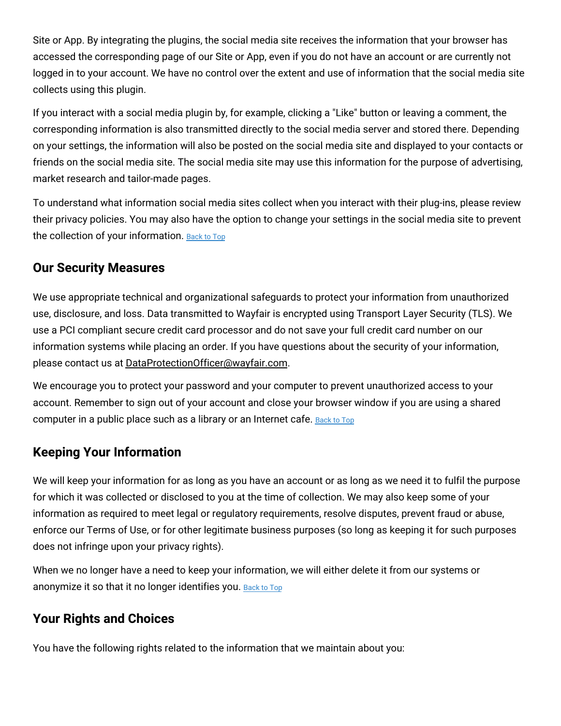Site or App. By integrating the plugins, the social media site receives the information that your browser has accessed the corresponding page of our Site or App, even if you do not have an account or are currently not logged in to your account. We have no control over the extent and use of information that the social media site collects using this plugin.

If you interact with a social media plugin by, for example, clicking a "Like" button or leaving a comment, the corresponding information is also transmitted directly to the social media server and stored there. Depending on your settings, the information will also be posted on the social media site and displayed to your contacts or friends on the social media site. The social media site may use this information for the purpose of advertising, market research and tailor-made pages.

To understand what information social media sites collect when you interact with their plug-ins, please review their privacy policies. You may also have the option to change your settings in the social media site to prevent the collection of your information. [Back](#wfuk-privacy-top) to Top

#### **Our Security Measures**

We use appropriate technical and organizational safeguards to protect your information from unauthorized use, disclosure, and loss. Data transmitted to Wayfair is encrypted using Transport Layer Security (TLS). We use a PCI compliant secure credit card processor and do not save your full credit card number on our information systems while placing an order. If you have questions about the security of your information, please contact us at [DataProtectionOfficer@wayfair.com.](mailto:DataProtectionOfficer@wayfair.com)

We encourage you to protect your password and your computer to prevent unauthorized access to your account. Remember to sign out of your account and close your browser window if you are using a shared computer in a public place such as a library or an Internet cafe. [Back](#wfuk-privacy-top) to Top

### **Keeping Your Information**

We will keep your information for as long as you have an account or as long as we need it to fulfil the purpose for which it was collected or disclosed to you at the time of collection. We may also keep some of your information as required to meet legal or regulatory requirements, resolve disputes, prevent fraud or abuse, enforce our Terms of Use, or for other legitimate business purposes (so long as keeping it for such purposes does not infringe upon your privacy rights).

When we no longer have a need to keep your information, we will either delete it from our systems or anonymize it so that it no longer identifies you. [Back](#wfuk-privacy-top) to Top

### **Your Rights and Choices**

You have the following rights related to the information that we maintain about you: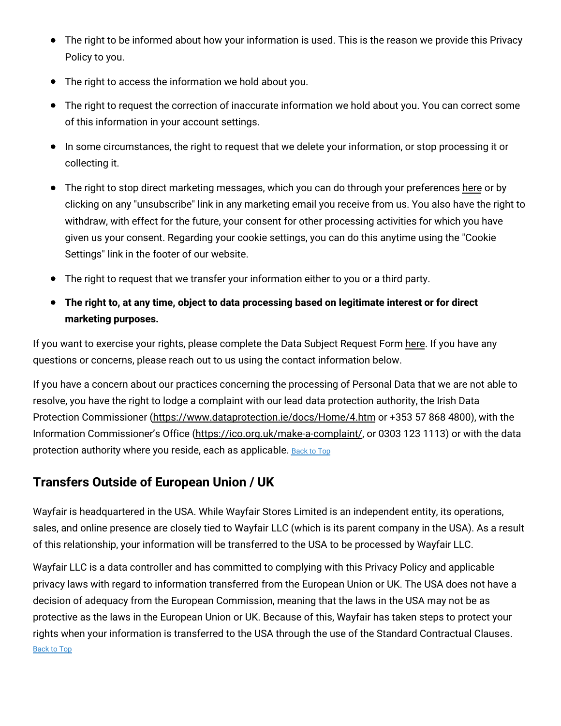- The right to be informed about how your information is used. This is the reason we provide this Privacy Policy to you.
- The right to access the information we hold about you.
- The right to request the correction of inaccurate information we hold about you. You can correct some of this information in your account settings.
- In some circumstances, the right to request that we delete your information, or stop processing it or collecting it.
- The right to stop direct marketing messages, which you can do through your preferences [here](https://www.wayfair.co.uk/v/account/email_subscriptions/manage) or by clicking on any "unsubscribe" link in any marketing email you receive from us. You also have the right to withdraw, with effect for the future, your consent for other processing activities for which you have given us your consent. Regarding your cookie settings, you can do this anytime using the "Cookie Settings" link in the footer of our website.
- The right to request that we transfer your information either to you or a third party.
- **The right to, at any time, object to data processing based on legitimate interest or for direct marketing purposes.**

If you want to exercise your rights, please complete the Data Subject Request Form [here.](https://www.wayfair.co.uk/v/account/subject_access_request/index) If you have any questions or concerns, please reach out to us using the contact information below.

If you have a concern about our practices concerning the processing of Personal Data that we are not able to resolve, you have the right to lodge a complaint with our lead data protection authority, the Irish Data Protection Commissioner [\(https://www.dataprotection.ie/docs/Home/4.htm](https://www.dataprotection.ie/docs/Home/4.htm) or +353 57 868 4800), with the Information Commissioner's Office [\(https://ico.org.uk/make-a-complaint/,](https://ico.org.uk/make-a-complaint/) or 0303 123 1113) or with the data protection authority where you reside, each as applicable. [Back](#wfuk-privacy-top) to Top

### **Transfers Outside of European Union / UK**

Wayfair is headquartered in the USA. While Wayfair Stores Limited is an independent entity, its operations, sales, and online presence are closely tied to Wayfair LLC (which is its parent company in the USA). As a result of this relationship, your information will be transferred to the USA to be processed by Wayfair LLC.

Wayfair LLC is a data controller and has committed to complying with this Privacy Policy and applicable privacy laws with regard to information transferred from the European Union or UK. The USA does not have a decision of adequacy from the European Commission, meaning that the laws in the USA may not be as protective as the laws in the European Union or UK. Because of this, Wayfair has taken steps to protect your rights when your information is transferred to the USA through the use of the Standard Contractual Clauses. [Back](#wfuk-privacy-top) to Top